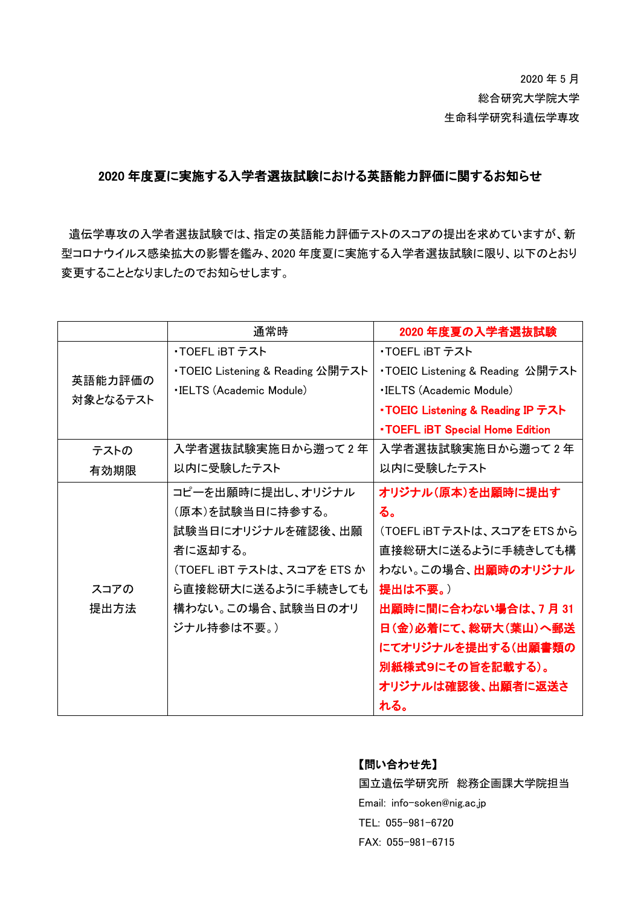# 2020 年 5 月 総合研究大学院大学 生命科学研究科遺伝学専攻

## 2020 年度夏に実施する入学者選抜試験における英語能力評価に関するお知らせ

遺伝学専攻の入学者選抜試験では、指定の英語能力評価テストのスコアの提出を求めていますが、新 型コロナウイルス感染拡大の影響を鑑み、2020 年度夏に実施する入学者選抜試験に限り、以下のとおり 変更することとなりましたのでお知らせします。

|                     | 通常時                              | 2020 年度夏の入学者選抜試験                        |
|---------------------|----------------------------------|-----------------------------------------|
| 英語能力評価の<br>対象となるテスト | ・TOEFL iBT テスト                   | ・TOEFL iBT テスト                          |
|                     | ・TOEIC Listening & Reading 公開テスト | ・TOEIC Listening & Reading 公開テスト        |
|                     | <b>·IELTS (Academic Module)</b>  | <b>.IELTS (Academic Module)</b>         |
|                     |                                  | •TOEIC Listening & Reading IP テスト       |
|                     |                                  | <b>. TOEFL IBT Special Home Edition</b> |
| テストの                | 入学者選抜試験実施日から遡って2年                | 入学者選抜試験実施日から遡って2年                       |
| 有効期限                | 以内に受験したテスト                       | 以内に受験したテスト                              |
|                     | コピーを出願時に提出し、オリジナル                | オリジナル(原本)を出願時に提出す                       |
|                     | (原本)を試験当日に持参する。                  | る。                                      |
|                     | 試験当日にオリジナルを確認後、出願                | (TOEFL iBTテストは、スコアをETSから                |
|                     | 者に返却する。                          | 直接総研大に送るように手続きしても構                      |
|                     | (TOEFL iBT テストは、スコアを ETS か       | わない。この場合、 <b>出願時のオリジナル</b>              |
| スコアの                | ら直接総研大に送るように手続きしても               | 提出は不要。)                                 |
| 提出方法                | 構わない。この場合、試験当日のオリ                | 出願時に間に合わない場合は、7月31                      |
|                     | ジナル持参は不要。)                       | 日(金)必着にて、総研大(葉山)へ郵送                     |
|                     |                                  | にてオリジナルを提出する(出願書類の                      |
|                     |                                  | 別紙様式9にその旨を記載する)。                        |
|                     |                                  | オリジナルは確認後、出願者に返送さ                       |
|                     |                                  | れる。                                     |

### 【問い合わせ先】

国立遺伝学研究所 総務企画課大学院担当 Email: info-soken@nig.ac.jp TEL: 055-981-6720 FAX: 055-981-6715